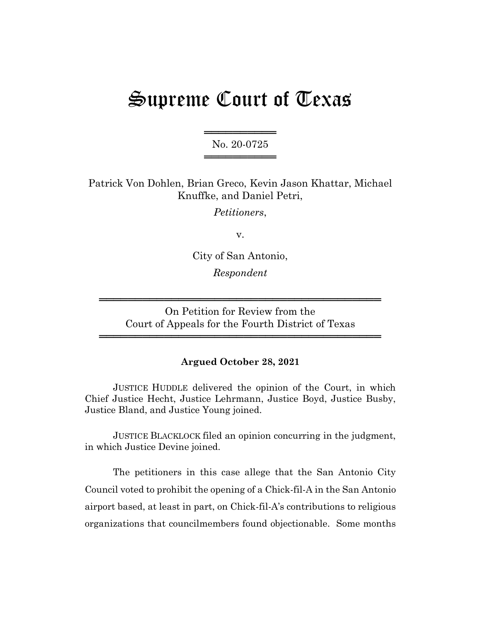# Supreme Court of Texas

═════════════════ No. 20-0725 ═══════════════════════════

Patrick Von Dohlen, Brian Greco, Kevin Jason Khattar, Michael Knuffke, and Daniel Petri,

*Petitioners*,

v.

City of San Antonio, *Respondent*

On Petition for Review from the Court of Appeals for the Fourth District of Texas

═══════════════════════════════════════

═══════════════════════════════════════

# **Argued October 28, 2021**

JUSTICE HUDDLE delivered the opinion of the Court, in which Chief Justice Hecht, Justice Lehrmann, Justice Boyd, Justice Busby, Justice Bland, and Justice Young joined.

JUSTICE BLACKLOCK filed an opinion concurring in the judgment, in which Justice Devine joined.

The petitioners in this case allege that the San Antonio City Council voted to prohibit the opening of a Chick-fil-A in the San Antonio airport based, at least in part, on Chick-fil-A's contributions to religious organizations that councilmembers found objectionable. Some months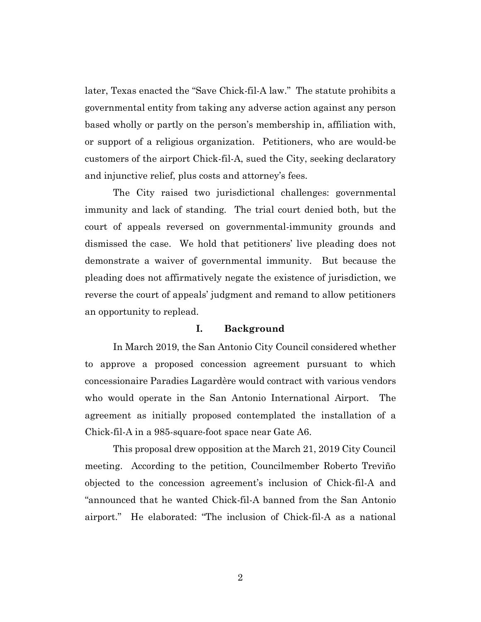later, Texas enacted the "Save Chick-fil-A law." The statute prohibits a governmental entity from taking any adverse action against any person based wholly or partly on the person's membership in, affiliation with, or support of a religious organization. Petitioners, who are would-be customers of the airport Chick-fil-A, sued the City, seeking declaratory and injunctive relief, plus costs and attorney's fees.

The City raised two jurisdictional challenges: governmental immunity and lack of standing. The trial court denied both, but the court of appeals reversed on governmental-immunity grounds and dismissed the case. We hold that petitioners' live pleading does not demonstrate a waiver of governmental immunity. But because the pleading does not affirmatively negate the existence of jurisdiction, we reverse the court of appeals' judgment and remand to allow petitioners an opportunity to replead.

#### **I. Background**

In March 2019, the San Antonio City Council considered whether to approve a proposed concession agreement pursuant to which concessionaire Paradies Lagardère would contract with various vendors who would operate in the San Antonio International Airport. The agreement as initially proposed contemplated the installation of a Chick-fil-A in a 985-square-foot space near Gate A6.

This proposal drew opposition at the March 21, 2019 City Council meeting. According to the petition, Councilmember Roberto Treviño objected to the concession agreement's inclusion of Chick-fil-A and "announced that he wanted Chick-fil-A banned from the San Antonio airport." He elaborated: "The inclusion of Chick-fil-A as a national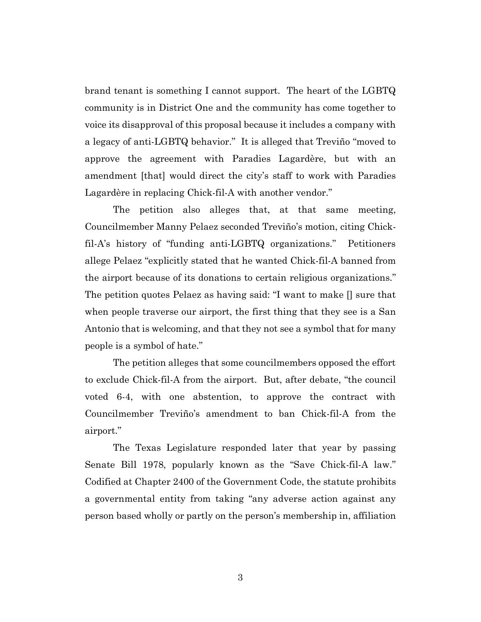brand tenant is something I cannot support. The heart of the LGBTQ community is in District One and the community has come together to voice its disapproval of this proposal because it includes a company with a legacy of anti-LGBTQ behavior." It is alleged that Treviño "moved to approve the agreement with Paradies Lagardère, but with an amendment [that] would direct the city's staff to work with Paradies Lagardère in replacing Chick-fil-A with another vendor."

The petition also alleges that, at that same meeting, Councilmember Manny Pelaez seconded Treviño's motion, citing Chickfil-A's history of "funding anti-LGBTQ organizations." Petitioners allege Pelaez "explicitly stated that he wanted Chick-fil-A banned from the airport because of its donations to certain religious organizations." The petition quotes Pelaez as having said: "I want to make [] sure that when people traverse our airport, the first thing that they see is a San Antonio that is welcoming, and that they not see a symbol that for many people is a symbol of hate."

The petition alleges that some councilmembers opposed the effort to exclude Chick-fil-A from the airport. But, after debate, "the council voted 6-4, with one abstention, to approve the contract with Councilmember Treviño's amendment to ban Chick-fil-A from the airport."

The Texas Legislature responded later that year by passing Senate Bill 1978, popularly known as the "Save Chick-fil-A law." Codified at Chapter 2400 of the Government Code, the statute prohibits a governmental entity from taking "any adverse action against any person based wholly or partly on the person's membership in, affiliation

3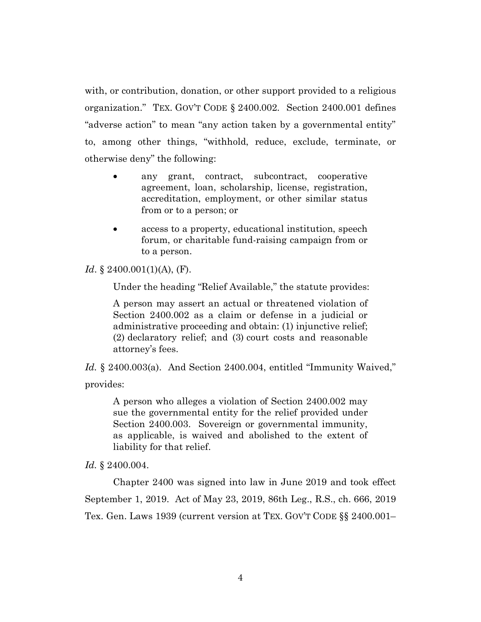with, or contribution, donation, or other support provided to a religious organization." TEX. GOV'T CODE § 2400.002. Section 2400.001 defines "adverse action" to mean "any action taken by a governmental entity" to, among other things, "withhold, reduce, exclude, terminate, or otherwise deny" the following:

- any grant, contract, subcontract, cooperative agreement, loan, scholarship, license, registration, accreditation, employment, or other similar status from or to a person; or
- access to a property, educational institution, speech forum, or charitable fund-raising campaign from or to a person.

*Id.* § 2400.001(1)(A), (F).

Under the heading "Relief Available," the statute provides:

A person may assert an actual or threatened violation of Section 2400.002 as a claim or defense in a judicial or administrative proceeding and obtain: (1) injunctive relief; (2) declaratory relief; and (3) court costs and reasonable attorney's fees.

*Id.* § 2400.003(a). And Section 2400.004, entitled "Immunity Waived," provides:

A person who alleges a violation of Section 2400.002 may sue the governmental entity for the relief provided under Section 2400.003. Sovereign or governmental immunity, as applicable, is waived and abolished to the extent of liability for that relief.

*Id.* § 2400.004.

Chapter 2400 was signed into law in June 2019 and took effect September 1, 2019. Act of May 23, 2019, 86th Leg., R.S., ch. 666, 2019 Tex. Gen. Laws 1939 (current version at TEX. GOV'T CODE §§ 2400.001–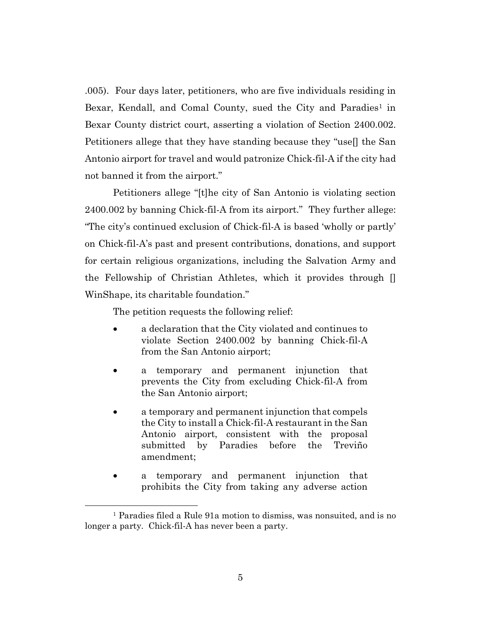.005). Four days later, petitioners, who are five individuals residing in Bexar, Kendall, and Comal County, sued the City and Paradies<sup>1</sup> in Bexar County district court, asserting a violation of Section 2400.002. Petitioners allege that they have standing because they "use[] the San Antonio airport for travel and would patronize Chick-fil-A if the city had not banned it from the airport."

Petitioners allege "[t]he city of San Antonio is violating section 2400.002 by banning Chick-fil-A from its airport." They further allege: "The city's continued exclusion of Chick-fil-A is based 'wholly or partly' on Chick-fil-A's past and present contributions, donations, and support for certain religious organizations, including the Salvation Army and the Fellowship of Christian Athletes, which it provides through [] WinShape, its charitable foundation."

The petition requests the following relief:

- a declaration that the City violated and continues to violate Section 2400.002 by banning Chick-fil-A from the San Antonio airport;
- a temporary and permanent injunction that prevents the City from excluding Chick-fil-A from the San Antonio airport;
- a temporary and permanent injunction that compels the City to install a Chick-fil-A restaurant in the San Antonio airport, consistent with the proposal submitted by Paradies before the Treviño amendment;
- a temporary and permanent injunction that prohibits the City from taking any adverse action

<sup>1</sup> Paradies filed a Rule 91a motion to dismiss, was nonsuited, and is no longer a party. Chick-fil-A has never been a party.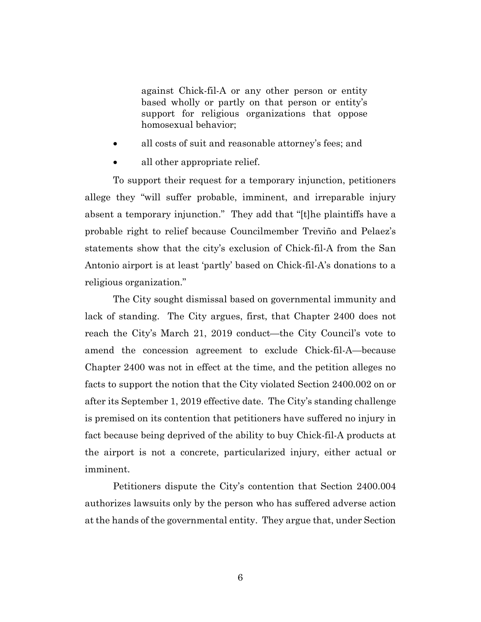against Chick-fil-A or any other person or entity based wholly or partly on that person or entity's support for religious organizations that oppose homosexual behavior;

- all costs of suit and reasonable attorney's fees; and
- all other appropriate relief.

To support their request for a temporary injunction, petitioners allege they "will suffer probable, imminent, and irreparable injury absent a temporary injunction." They add that "[t]he plaintiffs have a probable right to relief because Councilmember Treviño and Pelaez's statements show that the city's exclusion of Chick-fil-A from the San Antonio airport is at least 'partly' based on Chick-fil-A's donations to a religious organization."

The City sought dismissal based on governmental immunity and lack of standing. The City argues, first, that Chapter 2400 does not reach the City's March 21, 2019 conduct—the City Council's vote to amend the concession agreement to exclude Chick-fil-A—because Chapter 2400 was not in effect at the time, and the petition alleges no facts to support the notion that the City violated Section 2400.002 on or after its September 1, 2019 effective date. The City's standing challenge is premised on its contention that petitioners have suffered no injury in fact because being deprived of the ability to buy Chick-fil-A products at the airport is not a concrete, particularized injury, either actual or imminent.

Petitioners dispute the City's contention that Section 2400.004 authorizes lawsuits only by the person who has suffered adverse action at the hands of the governmental entity. They argue that, under Section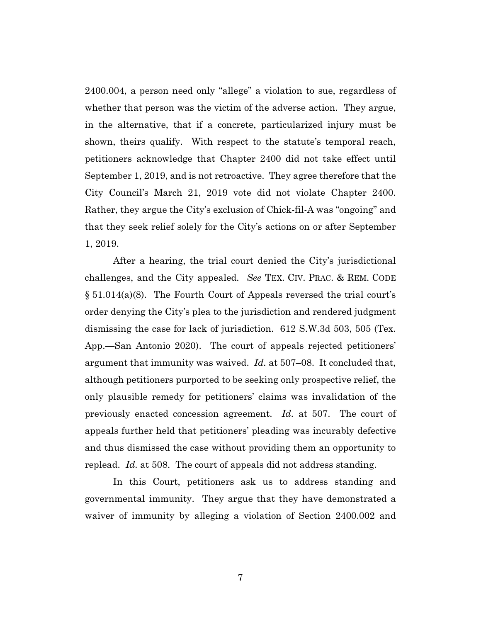2400.004, a person need only "allege" a violation to sue, regardless of whether that person was the victim of the adverse action. They argue, in the alternative, that if a concrete, particularized injury must be shown, theirs qualify. With respect to the statute's temporal reach, petitioners acknowledge that Chapter 2400 did not take effect until September 1, 2019, and is not retroactive. They agree therefore that the City Council's March 21, 2019 vote did not violate Chapter 2400. Rather, they argue the City's exclusion of Chick-fil-A was "ongoing" and that they seek relief solely for the City's actions on or after September 1, 2019.

After a hearing, the trial court denied the City's jurisdictional challenges, and the City appealed. *See* TEX. CIV. PRAC. & REM. CODE § 51.014(a)(8). The Fourth Court of Appeals reversed the trial court's order denying the City's plea to the jurisdiction and rendered judgment dismissing the case for lack of jurisdiction. 612 S.W.3d 503, 505 (Tex. App.—San Antonio 2020). The court of appeals rejected petitioners' argument that immunity was waived. *Id.* at 507–08. It concluded that, although petitioners purported to be seeking only prospective relief, the only plausible remedy for petitioners' claims was invalidation of the previously enacted concession agreement. *Id.* at 507. The court of appeals further held that petitioners' pleading was incurably defective and thus dismissed the case without providing them an opportunity to replead. *Id.* at 508. The court of appeals did not address standing.

In this Court, petitioners ask us to address standing and governmental immunity. They argue that they have demonstrated a waiver of immunity by alleging a violation of Section 2400.002 and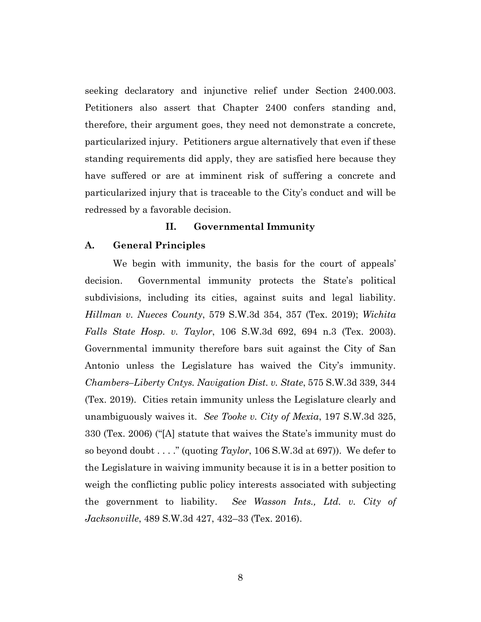seeking declaratory and injunctive relief under Section 2400.003. Petitioners also assert that Chapter 2400 confers standing and, therefore, their argument goes, they need not demonstrate a concrete, particularized injury. Petitioners argue alternatively that even if these standing requirements did apply, they are satisfied here because they have suffered or are at imminent risk of suffering a concrete and particularized injury that is traceable to the City's conduct and will be redressed by a favorable decision.

## **II. Governmental Immunity**

#### **A. General Principles**

We begin with immunity, the basis for the court of appeals' decision. Governmental immunity protects the State's political subdivisions, including its cities, against suits and legal liability. *Hillman v. Nueces County*, 579 S.W.3d 354, 357 (Tex. 2019); *Wichita Falls State Hosp. v. Taylor*, 106 S.W.3d 692, 694 n.3 (Tex. 2003). Governmental immunity therefore bars suit against the City of San Antonio unless the Legislature has waived the City's immunity. *Chambers–Liberty Cntys. Navigation Dist. v. State*, 575 S.W.3d 339, 344 (Tex. 2019). Cities retain immunity unless the Legislature clearly and unambiguously waives it. *See Tooke v. City of Mexia*, 197 S.W.3d 325, 330 (Tex. 2006) ("[A] statute that waives the State's immunity must do so beyond doubt . . . ." (quoting *Taylor*, 106 S.W.3d at 697)). We defer to the Legislature in waiving immunity because it is in a better position to weigh the conflicting public policy interests associated with subjecting the government to liability. *See Wasson Ints., Ltd. v. City of Jacksonville*, 489 S.W.3d 427, 432–33 (Tex. 2016).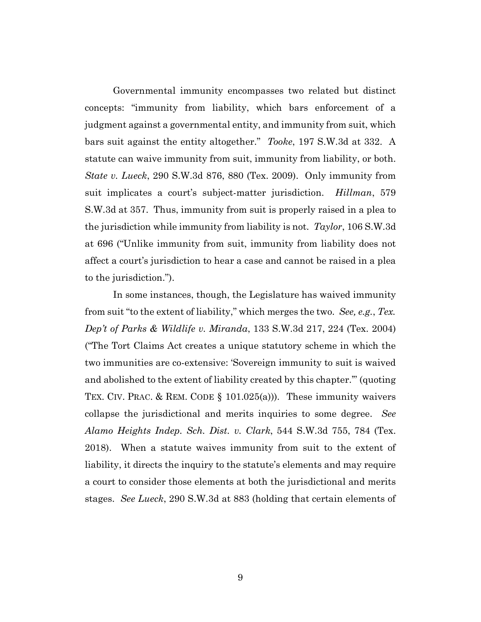Governmental immunity encompasses two related but distinct concepts: "immunity from liability, which bars enforcement of a judgment against a governmental entity, and immunity from suit, which bars suit against the entity altogether." *Tooke*, 197 S.W.3d at 332. A statute can waive immunity from suit, immunity from liability, or both. *State v. Lueck*, 290 S.W.3d 876, 880 (Tex. 2009). Only immunity from suit implicates a court's subject-matter jurisdiction. *Hillman*, 579 S.W.3d at 357. Thus, immunity from suit is properly raised in a plea to the jurisdiction while immunity from liability is not. *Taylor*, 106 S.W.3d at 696 ("Unlike immunity from suit, immunity from liability does not affect a court's jurisdiction to hear a case and cannot be raised in a plea to the jurisdiction.").

In some instances, though, the Legislature has waived immunity from suit "to the extent of liability," which merges the two. *See, e.g.*, *Tex. Dep't of Parks & Wildlife v. Miranda*, 133 S.W.3d 217, 224 (Tex. 2004) ("The Tort Claims Act creates a unique statutory scheme in which the two immunities are co-extensive: 'Sovereign immunity to suit is waived and abolished to the extent of liability created by this chapter.'" (quoting TEX. CIV. PRAC. & REM. CODE  $\S$  101.025(a))). These immunity waivers collapse the jurisdictional and merits inquiries to some degree. *See Alamo Heights Indep. Sch. Dist. v. Clark*, 544 S.W.3d 755, 784 (Tex. 2018). When a statute waives immunity from suit to the extent of liability, it directs the inquiry to the statute's elements and may require a court to consider those elements at both the jurisdictional and merits stages. *See Lueck*, 290 S.W.3d at 883 (holding that certain elements of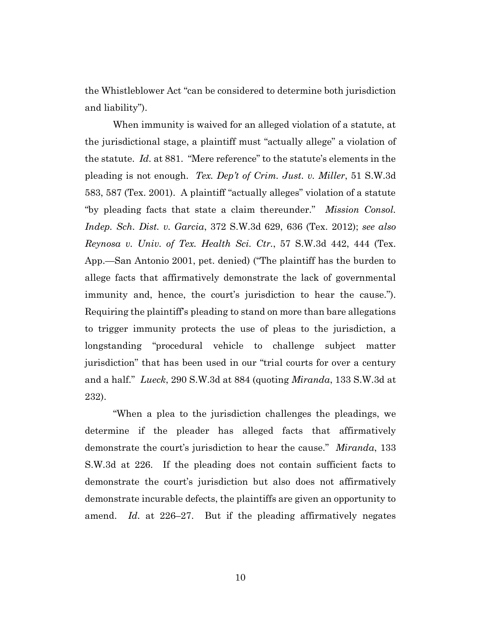the Whistleblower Act "can be considered to determine both jurisdiction and liability").

When immunity is waived for an alleged violation of a statute, at the jurisdictional stage, a plaintiff must "actually allege" a violation of the statute. *Id.* at 881. "Mere reference" to the statute's elements in the pleading is not enough. *Tex. Dep't of Crim. Just. v. Miller*, 51 S.W.3d 583, 587 (Tex. 2001). A plaintiff "actually alleges" violation of a statute "by pleading facts that state a claim thereunder." *Mission Consol. Indep. Sch. Dist. v. Garcia*, 372 S.W.3d 629, 636 (Tex. 2012); *see also Reynosa v. Univ. of Tex. Health Sci. Ctr.*, 57 S.W.3d 442, 444 (Tex. App.—San Antonio 2001, pet. denied) ("The plaintiff has the burden to allege facts that affirmatively demonstrate the lack of governmental immunity and, hence, the court's jurisdiction to hear the cause."). Requiring the plaintiff's pleading to stand on more than bare allegations to trigger immunity protects the use of pleas to the jurisdiction, a longstanding "procedural vehicle to challenge subject matter jurisdiction" that has been used in our "trial courts for over a century and a half." *Lueck*, 290 S.W.3d at 884 (quoting *Miranda*, 133 S.W.3d at 232).

"When a plea to the jurisdiction challenges the pleadings, we determine if the pleader has alleged facts that affirmatively demonstrate the court's jurisdiction to hear the cause." *Miranda*, 133 S.W.3d at 226. If the pleading does not contain sufficient facts to demonstrate the court's jurisdiction but also does not affirmatively demonstrate incurable defects, the plaintiffs are given an opportunity to amend. *Id.* at 226–27. But if the pleading affirmatively negates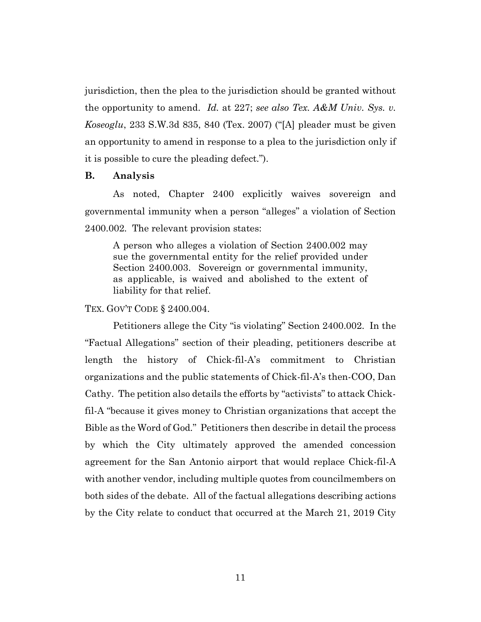jurisdiction, then the plea to the jurisdiction should be granted without the opportunity to amend. *Id.* at 227; *see also Tex. A&M Univ. Sys. v. Koseoglu*, 233 S.W.3d 835, 840 (Tex. 2007) ("[A] pleader must be given an opportunity to amend in response to a plea to the jurisdiction only if it is possible to cure the pleading defect.").

#### **B. Analysis**

As noted, Chapter 2400 explicitly waives sovereign and governmental immunity when a person "alleges" a violation of Section 2400.002. The relevant provision states:

A person who alleges a violation of Section 2400.002 may sue the governmental entity for the relief provided under Section 2400.003. Sovereign or governmental immunity, as applicable, is waived and abolished to the extent of liability for that relief.

TEX. GOV'T CODE § 2400.004.

Petitioners allege the City "is violating" Section 2400.002. In the "Factual Allegations" section of their pleading, petitioners describe at length the history of Chick-fil-A's commitment to Christian organizations and the public statements of Chick-fil-A's then-COO, Dan Cathy. The petition also details the efforts by "activists" to attack Chickfil-A "because it gives money to Christian organizations that accept the Bible as the Word of God." Petitioners then describe in detail the process by which the City ultimately approved the amended concession agreement for the San Antonio airport that would replace Chick-fil-A with another vendor, including multiple quotes from councilmembers on both sides of the debate. All of the factual allegations describing actions by the City relate to conduct that occurred at the March 21, 2019 City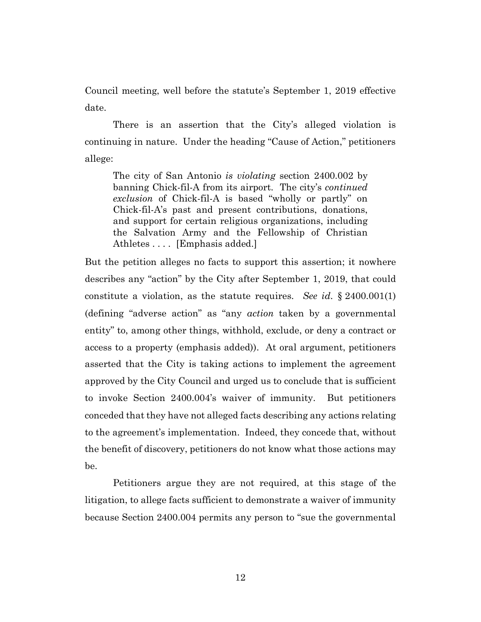Council meeting, well before the statute's September 1, 2019 effective date.

There is an assertion that the City's alleged violation is continuing in nature. Under the heading "Cause of Action," petitioners allege:

The city of San Antonio *is violating* section 2400.002 by banning Chick-fil-A from its airport. The city's *continued exclusion* of Chick-fil-A is based "wholly or partly" on Chick-fil-A's past and present contributions, donations, and support for certain religious organizations, including the Salvation Army and the Fellowship of Christian Athletes . . . . [Emphasis added.]

But the petition alleges no facts to support this assertion; it nowhere describes any "action" by the City after September 1, 2019, that could constitute a violation, as the statute requires. *See id.* § 2400.001(1) (defining "adverse action" as "any *action* taken by a governmental entity" to, among other things, withhold, exclude, or deny a contract or access to a property (emphasis added)). At oral argument, petitioners asserted that the City is taking actions to implement the agreement approved by the City Council and urged us to conclude that is sufficient to invoke Section 2400.004's waiver of immunity. But petitioners conceded that they have not alleged facts describing any actions relating to the agreement's implementation. Indeed, they concede that, without the benefit of discovery, petitioners do not know what those actions may be.

Petitioners argue they are not required, at this stage of the litigation, to allege facts sufficient to demonstrate a waiver of immunity because Section 2400.004 permits any person to "sue the governmental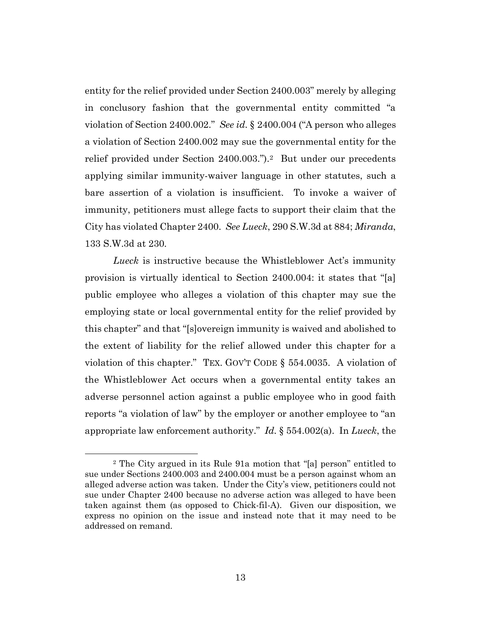entity for the relief provided under Section 2400.003" merely by alleging in conclusory fashion that the governmental entity committed "a violation of Section 2400.002." *See id.* § 2400.004 ("A person who alleges a violation of Section 2400.002 may sue the governmental entity for the relief provided under Section 2400.003.").<sup>2</sup> But under our precedents applying similar immunity-waiver language in other statutes, such a bare assertion of a violation is insufficient. To invoke a waiver of immunity, petitioners must allege facts to support their claim that the City has violated Chapter 2400. *See Lueck*, 290 S.W.3d at 884; *Miranda*, 133 S.W.3d at 230.

*Lueck* is instructive because the Whistleblower Act's immunity provision is virtually identical to Section 2400.004: it states that "[a] public employee who alleges a violation of this chapter may sue the employing state or local governmental entity for the relief provided by this chapter" and that "[s]overeign immunity is waived and abolished to the extent of liability for the relief allowed under this chapter for a violation of this chapter." TEX. GOV'T CODE § 554.0035. A violation of the Whistleblower Act occurs when a governmental entity takes an adverse personnel action against a public employee who in good faith reports "a violation of law" by the employer or another employee to "an appropriate law enforcement authority." *Id.* § 554.002(a). In *Lueck*, the

<sup>2</sup> The City argued in its Rule 91a motion that "[a] person" entitled to sue under Sections 2400.003 and 2400.004 must be a person against whom an alleged adverse action was taken. Under the City's view, petitioners could not sue under Chapter 2400 because no adverse action was alleged to have been taken against them (as opposed to Chick-fil-A). Given our disposition, we express no opinion on the issue and instead note that it may need to be addressed on remand.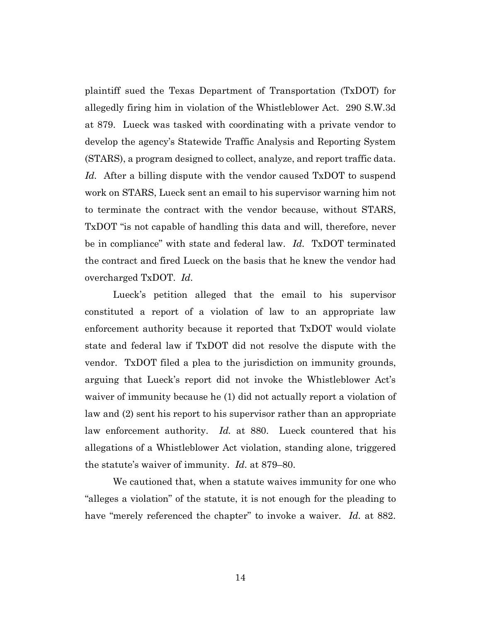plaintiff sued the Texas Department of Transportation (TxDOT) for allegedly firing him in violation of the Whistleblower Act. 290 S.W.3d at 879. Lueck was tasked with coordinating with a private vendor to develop the agency's Statewide Traffic Analysis and Reporting System (STARS), a program designed to collect, analyze, and report traffic data. *Id.* After a billing dispute with the vendor caused TxDOT to suspend work on STARS, Lueck sent an email to his supervisor warning him not to terminate the contract with the vendor because, without STARS, TxDOT "is not capable of handling this data and will, therefore, never be in compliance" with state and federal law. *Id.* TxDOT terminated the contract and fired Lueck on the basis that he knew the vendor had overcharged TxDOT. *Id.*

Lueck's petition alleged that the email to his supervisor constituted a report of a violation of law to an appropriate law enforcement authority because it reported that TxDOT would violate state and federal law if TxDOT did not resolve the dispute with the vendor. TxDOT filed a plea to the jurisdiction on immunity grounds, arguing that Lueck's report did not invoke the Whistleblower Act's waiver of immunity because he (1) did not actually report a violation of law and (2) sent his report to his supervisor rather than an appropriate law enforcement authority. *Id.* at 880. Lueck countered that his allegations of a Whistleblower Act violation, standing alone, triggered the statute's waiver of immunity. *Id.* at 879–80.

We cautioned that, when a statute waives immunity for one who "alleges a violation" of the statute, it is not enough for the pleading to have "merely referenced the chapter" to invoke a waiver. *Id.* at 882.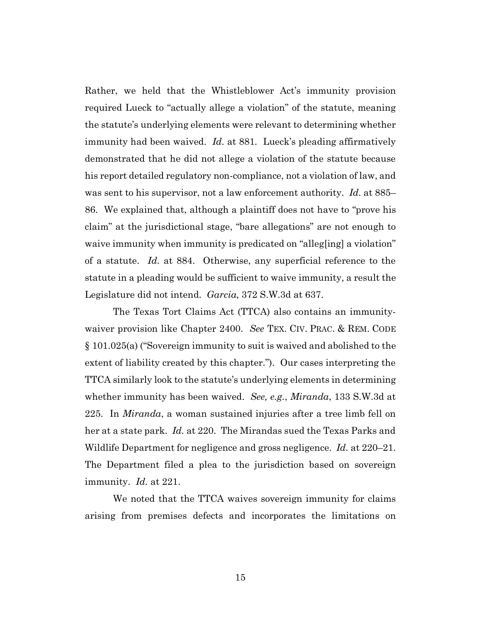Rather, we held that the Whistleblower Act's immunity provision required Lueck to "actually allege a violation" of the statute, meaning the statute's underlying elements were relevant to determining whether immunity had been waived. *Id.* at 881*.* Lueck's pleading affirmatively demonstrated that he did not allege a violation of the statute because his report detailed regulatory non-compliance, not a violation of law, and was sent to his supervisor, not a law enforcement authority. *Id.* at 885– 86. We explained that, although a plaintiff does not have to "prove his claim" at the jurisdictional stage, "bare allegations" are not enough to waive immunity when immunity is predicated on "alleg[ing] a violation" of a statute. *Id.* at 884. Otherwise, any superficial reference to the statute in a pleading would be sufficient to waive immunity, a result the Legislature did not intend. *Garcia*, 372 S.W.3d at 637.

The Texas Tort Claims Act (TTCA) also contains an immunitywaiver provision like Chapter 2400. *See* TEX. CIV. PRAC. & REM. CODE § 101.025(a) ("Sovereign immunity to suit is waived and abolished to the extent of liability created by this chapter."). Our cases interpreting the TTCA similarly look to the statute's underlying elements in determining whether immunity has been waived. *See, e.g.*, *Miranda*, 133 S.W.3d at 225. In *Miranda*, a woman sustained injuries after a tree limb fell on her at a state park. *Id.* at 220. The Mirandas sued the Texas Parks and Wildlife Department for negligence and gross negligence. *Id.* at 220–21. The Department filed a plea to the jurisdiction based on sovereign immunity. *Id.* at 221.

We noted that the TTCA waives sovereign immunity for claims arising from premises defects and incorporates the limitations on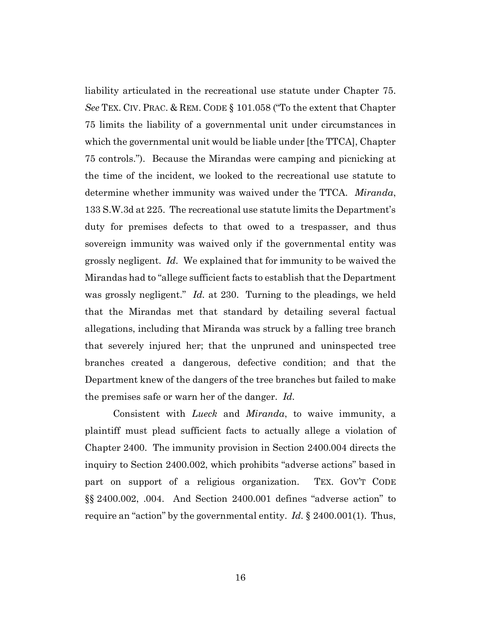liability articulated in the recreational use statute under Chapter 75. *See* TEX. CIV. PRAC. & REM. CODE § 101.058 ("To the extent that Chapter 75 limits the liability of a governmental unit under circumstances in which the governmental unit would be liable under [the TTCA], Chapter 75 controls."). Because the Mirandas were camping and picnicking at the time of the incident, we looked to the recreational use statute to determine whether immunity was waived under the TTCA. *Miranda*, 133 S.W.3d at 225. The recreational use statute limits the Department's duty for premises defects to that owed to a trespasser, and thus sovereign immunity was waived only if the governmental entity was grossly negligent. *Id.* We explained that for immunity to be waived the Mirandas had to "allege sufficient facts to establish that the Department was grossly negligent." *Id.* at 230. Turning to the pleadings, we held that the Mirandas met that standard by detailing several factual allegations, including that Miranda was struck by a falling tree branch that severely injured her; that the unpruned and uninspected tree branches created a dangerous, defective condition; and that the Department knew of the dangers of the tree branches but failed to make the premises safe or warn her of the danger. *Id.*

Consistent with *Lueck* and *Miranda*, to waive immunity, a plaintiff must plead sufficient facts to actually allege a violation of Chapter 2400. The immunity provision in Section 2400.004 directs the inquiry to Section 2400.002, which prohibits "adverse actions" based in part on support of a religious organization. TEX. GOV'T CODE §§ 2400.002, .004. And Section 2400.001 defines "adverse action" to require an "action" by the governmental entity. *Id.* § 2400.001(1). Thus,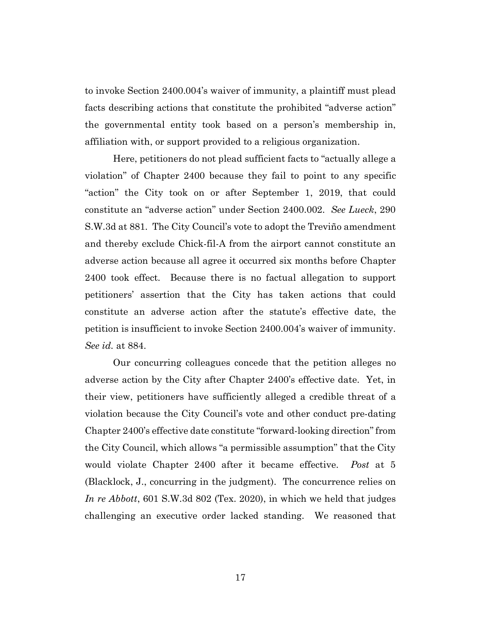to invoke Section 2400.004's waiver of immunity, a plaintiff must plead facts describing actions that constitute the prohibited "adverse action" the governmental entity took based on a person's membership in, affiliation with, or support provided to a religious organization.

Here, petitioners do not plead sufficient facts to "actually allege a violation" of Chapter 2400 because they fail to point to any specific "action" the City took on or after September 1, 2019, that could constitute an "adverse action" under Section 2400.002. *See Lueck*, 290 S.W.3d at 881. The City Council's vote to adopt the Treviño amendment and thereby exclude Chick-fil-A from the airport cannot constitute an adverse action because all agree it occurred six months before Chapter 2400 took effect. Because there is no factual allegation to support petitioners' assertion that the City has taken actions that could constitute an adverse action after the statute's effective date, the petition is insufficient to invoke Section 2400.004's waiver of immunity. *See id.* at 884.

Our concurring colleagues concede that the petition alleges no adverse action by the City after Chapter 2400's effective date. Yet, in their view, petitioners have sufficiently alleged a credible threat of a violation because the City Council's vote and other conduct pre-dating Chapter 2400's effective date constitute "forward-looking direction" from the City Council, which allows "a permissible assumption" that the City would violate Chapter 2400 after it became effective. *Post* at 5 (Blacklock, J., concurring in the judgment). The concurrence relies on *In re Abbott*, 601 S.W.3d 802 (Tex. 2020), in which we held that judges challenging an executive order lacked standing. We reasoned that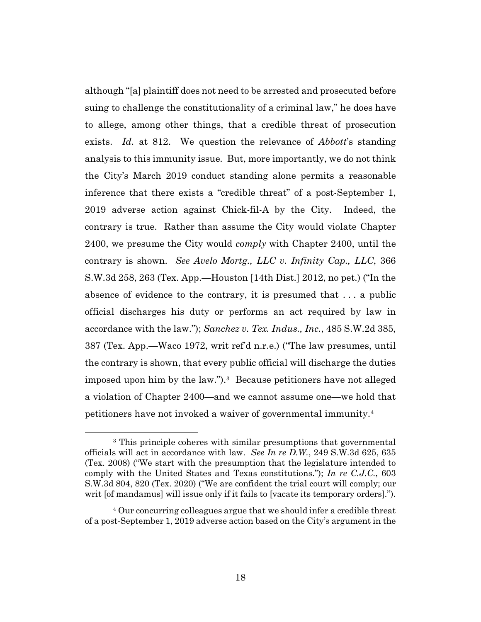although "[a] plaintiff does not need to be arrested and prosecuted before suing to challenge the constitutionality of a criminal law," he does have to allege, among other things, that a credible threat of prosecution exists. *Id.* at 812. We question the relevance of *Abbott*'s standing analysis to this immunity issue. But, more importantly, we do not think the City's March 2019 conduct standing alone permits a reasonable inference that there exists a "credible threat" of a post-September 1, 2019 adverse action against Chick-fil-A by the City. Indeed, the contrary is true. Rather than assume the City would violate Chapter 2400, we presume the City would *comply* with Chapter 2400, until the contrary is shown. *See Avelo Mortg., LLC v. Infinity Cap., LLC*, 366 S.W.3d 258, 263 (Tex. App.—Houston [14th Dist.] 2012, no pet.) ("In the absence of evidence to the contrary, it is presumed that . . . a public official discharges his duty or performs an act required by law in accordance with the law."); *Sanchez v. Tex. Indus., Inc.*, 485 S.W.2d 385, 387 (Tex. App.—Waco 1972, writ ref'd n.r.e.) ("The law presumes, until the contrary is shown, that every public official will discharge the duties imposed upon him by the law.").3 Because petitioners have not alleged a violation of Chapter 2400—and we cannot assume one—we hold that petitioners have not invoked a waiver of governmental immunity.4

<sup>3</sup> This principle coheres with similar presumptions that governmental officials will act in accordance with law. *See In re D.W.*, 249 S.W.3d 625, 635 (Tex. 2008) ("We start with the presumption that the legislature intended to comply with the United States and Texas constitutions."); *In re C.J.C.*, 603 S.W.3d 804, 820 (Tex. 2020) ("We are confident the trial court will comply; our writ [of mandamus] will issue only if it fails to [vacate its temporary orders].").

<sup>4</sup> Our concurring colleagues argue that we should infer a credible threat of a post-September 1, 2019 adverse action based on the City's argument in the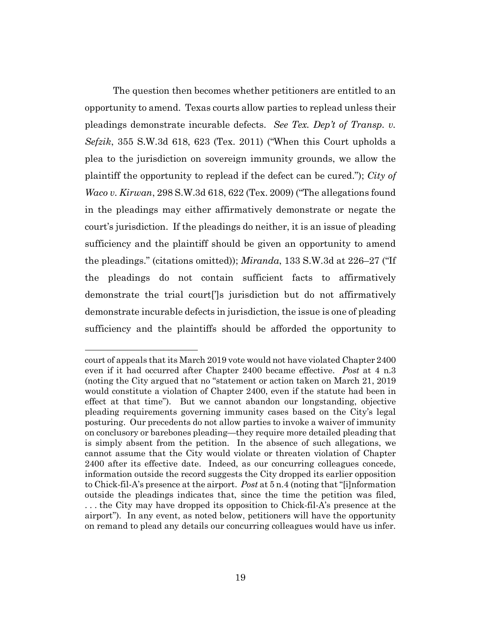The question then becomes whether petitioners are entitled to an opportunity to amend. Texas courts allow parties to replead unless their pleadings demonstrate incurable defects. *See Tex. Dep't of Transp. v. Sefzik*, 355 S.W.3d 618, 623 (Tex. 2011) ("When this Court upholds a plea to the jurisdiction on sovereign immunity grounds, we allow the plaintiff the opportunity to replead if the defect can be cured."); *City of Waco v. Kirwan*, 298 S.W.3d 618, 622 (Tex. 2009) ("The allegations found in the pleadings may either affirmatively demonstrate or negate the court's jurisdiction. If the pleadings do neither, it is an issue of pleading sufficiency and the plaintiff should be given an opportunity to amend the pleadings." (citations omitted)); *Miranda*, 133 S.W.3d at 226–27 ("If the pleadings do not contain sufficient facts to affirmatively demonstrate the trial court[']s jurisdiction but do not affirmatively demonstrate incurable defects in jurisdiction, the issue is one of pleading sufficiency and the plaintiffs should be afforded the opportunity to

court of appeals that its March 2019 vote would not have violated Chapter 2400 even if it had occurred after Chapter 2400 became effective. *Post* at 4 n.3 (noting the City argued that no "statement or action taken on March 21, 2019 would constitute a violation of Chapter 2400, even if the statute had been in effect at that time"). But we cannot abandon our longstanding, objective pleading requirements governing immunity cases based on the City's legal posturing. Our precedents do not allow parties to invoke a waiver of immunity on conclusory or barebones pleading—they require more detailed pleading that is simply absent from the petition. In the absence of such allegations, we cannot assume that the City would violate or threaten violation of Chapter 2400 after its effective date. Indeed, as our concurring colleagues concede, information outside the record suggests the City dropped its earlier opposition to Chick-fil-A's presence at the airport. *Post* at 5 n.4 (noting that "[i]nformation outside the pleadings indicates that, since the time the petition was filed, . . . the City may have dropped its opposition to Chick-fil-A's presence at the airport"). In any event, as noted below, petitioners will have the opportunity on remand to plead any details our concurring colleagues would have us infer.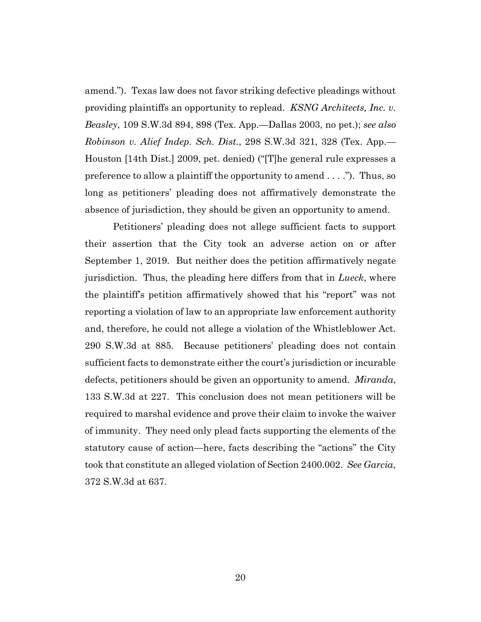amend."). Texas law does not favor striking defective pleadings without providing plaintiffs an opportunity to replead. *KSNG Architects, Inc. v. Beasley*, 109 S.W.3d 894, 898 (Tex. App.—Dallas 2003, no pet.); *see also Robinson v. Alief Indep. Sch. Dist.*, 298 S.W.3d 321, 328 (Tex. App.— Houston [14th Dist.] 2009, pet. denied) ("[T]he general rule expresses a preference to allow a plaintiff the opportunity to amend . . . ."). Thus, so long as petitioners' pleading does not affirmatively demonstrate the absence of jurisdiction, they should be given an opportunity to amend.

Petitioners' pleading does not allege sufficient facts to support their assertion that the City took an adverse action on or after September 1, 2019. But neither does the petition affirmatively negate jurisdiction. Thus, the pleading here differs from that in *Lueck*, where the plaintiff's petition affirmatively showed that his "report" was not reporting a violation of law to an appropriate law enforcement authority and, therefore, he could not allege a violation of the Whistleblower Act. 290 S.W.3d at 885. Because petitioners' pleading does not contain sufficient facts to demonstrate either the court's jurisdiction or incurable defects, petitioners should be given an opportunity to amend. *Miranda*, 133 S.W.3d at 227. This conclusion does not mean petitioners will be required to marshal evidence and prove their claim to invoke the waiver of immunity. They need only plead facts supporting the elements of the statutory cause of action—here, facts describing the "actions" the City took that constitute an alleged violation of Section 2400.002. *See Garcia*, 372 S.W.3d at 637.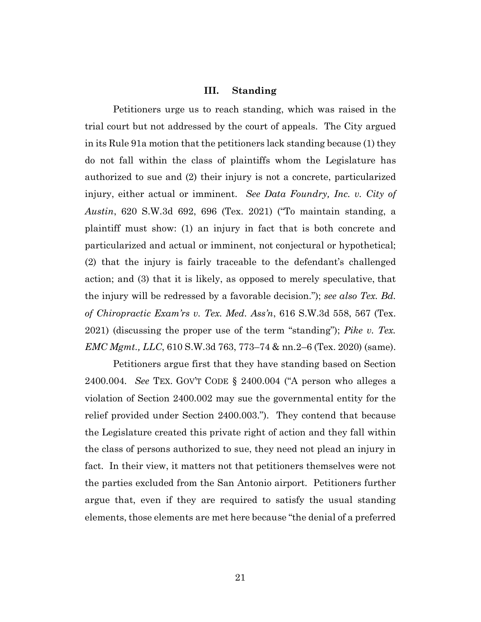#### **III. Standing**

Petitioners urge us to reach standing, which was raised in the trial court but not addressed by the court of appeals. The City argued in its Rule 91a motion that the petitioners lack standing because (1) they do not fall within the class of plaintiffs whom the Legislature has authorized to sue and (2) their injury is not a concrete, particularized injury, either actual or imminent. *See Data Foundry, Inc. v. City of Austin*, 620 S.W.3d 692, 696 (Tex. 2021) ("To maintain standing, a plaintiff must show: (1) an injury in fact that is both concrete and particularized and actual or imminent, not conjectural or hypothetical; (2) that the injury is fairly traceable to the defendant's challenged action; and (3) that it is likely, as opposed to merely speculative, that the injury will be redressed by a favorable decision."); *see also Tex. Bd. of Chiropractic Exam'rs v. Tex. Med. Ass'n*, 616 S.W.3d 558, 567 (Tex. 2021) (discussing the proper use of the term "standing"); *Pike v. Tex. EMC Mgmt., LLC*, 610 S.W.3d 763, 773–74 & nn.2–6 (Tex. 2020) (same).

Petitioners argue first that they have standing based on Section 2400.004. *See* TEX. GOV'T CODE § 2400.004 ("A person who alleges a violation of Section 2400.002 may sue the governmental entity for the relief provided under Section 2400.003."). They contend that because the Legislature created this private right of action and they fall within the class of persons authorized to sue, they need not plead an injury in fact. In their view, it matters not that petitioners themselves were not the parties excluded from the San Antonio airport. Petitioners further argue that, even if they are required to satisfy the usual standing elements, those elements are met here because "the denial of a preferred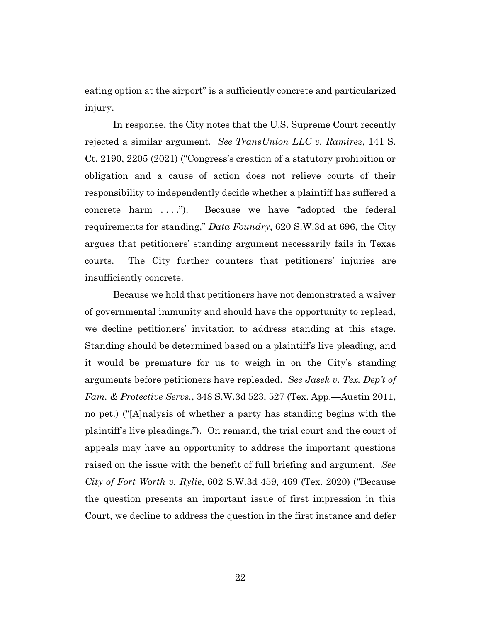eating option at the airport" is a sufficiently concrete and particularized injury.

In response, the City notes that the U.S. Supreme Court recently rejected a similar argument. *See TransUnion LLC v. Ramirez*, 141 S. Ct. 2190, 2205 (2021) ("Congress's creation of a statutory prohibition or obligation and a cause of action does not relieve courts of their responsibility to independently decide whether a plaintiff has suffered a concrete harm . . . ."). Because we have "adopted the federal requirements for standing," *Data Foundry*, 620 S.W.3d at 696, the City argues that petitioners' standing argument necessarily fails in Texas courts. The City further counters that petitioners' injuries are insufficiently concrete.

Because we hold that petitioners have not demonstrated a waiver of governmental immunity and should have the opportunity to replead, we decline petitioners' invitation to address standing at this stage. Standing should be determined based on a plaintiff's live pleading, and it would be premature for us to weigh in on the City's standing arguments before petitioners have repleaded. *See Jasek v. Tex. Dep't of Fam. & Protective Servs.*, 348 S.W.3d 523, 527 (Tex. App.—Austin 2011, no pet.) ("[A]nalysis of whether a party has standing begins with the plaintiff's live pleadings."). On remand, the trial court and the court of appeals may have an opportunity to address the important questions raised on the issue with the benefit of full briefing and argument. *See City of Fort Worth v. Rylie*, 602 S.W.3d 459, 469 (Tex. 2020) ("Because the question presents an important issue of first impression in this Court, we decline to address the question in the first instance and defer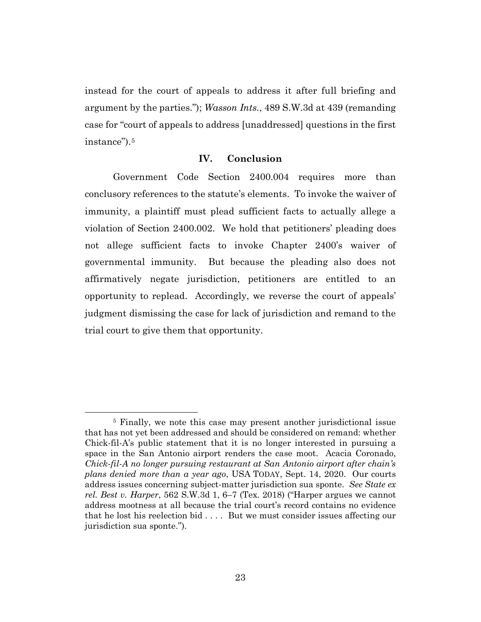instead for the court of appeals to address it after full briefing and argument by the parties."); *Wasson Ints.*, 489 S.W.3d at 439 (remanding case for "court of appeals to address [unaddressed] questions in the first instance").<sup>5</sup>

## **IV. Conclusion**

Government Code Section 2400.004 requires more than conclusory references to the statute's elements. To invoke the waiver of immunity, a plaintiff must plead sufficient facts to actually allege a violation of Section 2400.002. We hold that petitioners' pleading does not allege sufficient facts to invoke Chapter 2400's waiver of governmental immunity. But because the pleading also does not affirmatively negate jurisdiction, petitioners are entitled to an opportunity to replead. Accordingly, we reverse the court of appeals' judgment dismissing the case for lack of jurisdiction and remand to the trial court to give them that opportunity.

<sup>5</sup> Finally, we note this case may present another jurisdictional issue that has not yet been addressed and should be considered on remand: whether Chick-fil-A's public statement that it is no longer interested in pursuing a space in the San Antonio airport renders the case moot. Acacia Coronado, *Chick-fil-A no longer pursuing restaurant at San Antonio airport after chain's plans denied more than a year ago*, USA TODAY, Sept. 14, 2020. Our courts address issues concerning subject-matter jurisdiction sua sponte. *See State ex rel. Best v. Harper*, 562 S.W.3d 1, 6–7 (Tex. 2018) ("Harper argues we cannot address mootness at all because the trial court's record contains no evidence that he lost his reelection bid . . . . But we must consider issues affecting our jurisdiction sua sponte.").